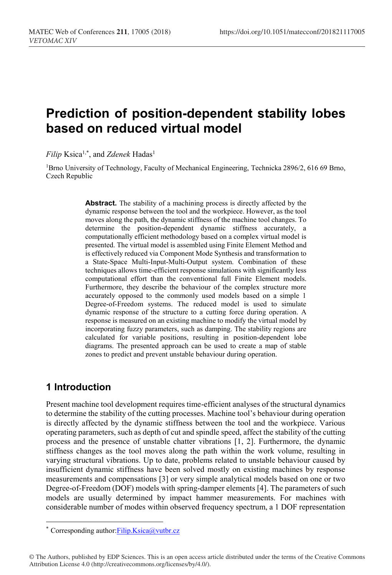# **Prediction of position-dependent stability lobes based on reduced virtual model**

*Filip* Ksica1,\* , and *Zdenek* Hadas1

<sup>1</sup>Brno University of Technology, Faculty of Mechanical Engineering, Technicka 2896/2, 616 69 Brno, Czech Republic

> **Abstract.** The stability of a machining process is directly affected by the dynamic response between the tool and the workpiece. However, as the tool moves along the path, the dynamic stiffness of the machine tool changes. To determine the position-dependent dynamic stiffness accurately, a computationally efficient methodology based on a complex virtual model is presented. The virtual model is assembled using Finite Element Method and is effectively reduced via Component Mode Synthesis and transformation to a State-Space Multi-Input-Multi-Output system. Combination of these techniques allows time-efficient response simulations with significantly less computational effort than the conventional full Finite Element models. Furthermore, they describe the behaviour of the complex structure more accurately opposed to the commonly used models based on a simple 1 Degree-of-Freedom systems. The reduced model is used to simulate dynamic response of the structure to a cutting force during operation. A response is measured on an existing machine to modify the virtual model by incorporating fuzzy parameters, such as damping. The stability regions are calculated for variable positions, resulting in position-dependent lobe diagrams. The presented approach can be used to create a map of stable zones to predict and prevent unstable behaviour during operation.

#### **1 Introduction**

 $\overline{a}$ 

Present machine tool development requires time-efficient analyses of the structural dynamics to determine the stability of the cutting processes. Machine tool's behaviour during operation is directly affected by the dynamic stiffness between the tool and the workpiece. Various operating parameters, such as depth of cut and spindle speed, affect the stability of the cutting process and the presence of unstable chatter vibrations [1, 2]. Furthermore, the dynamic stiffness changes as the tool moves along the path within the work volume, resulting in varying structural vibrations. Up to date, problems related to unstable behaviour caused by insufficient dynamic stiffness have been solved mostly on existing machines by response measurements and compensations [3] or very simple analytical models based on one or two Degree-of-Freedom (DOF) models with spring-damper elements [4]. The parameters of such models are usually determined by impact hammer measurements. For machines with considerable number of modes within observed frequency spectrum, a 1 DOF representation

<sup>\*</sup> Corresponding author:Filip.Ksica@vutbr.cz

<sup>©</sup> The Authors, published by EDP Sciences. This is an open access article distributed under the terms of the Creative Commons Attribution License 4.0 (http://creativecommons.org/licenses/by/4.0/).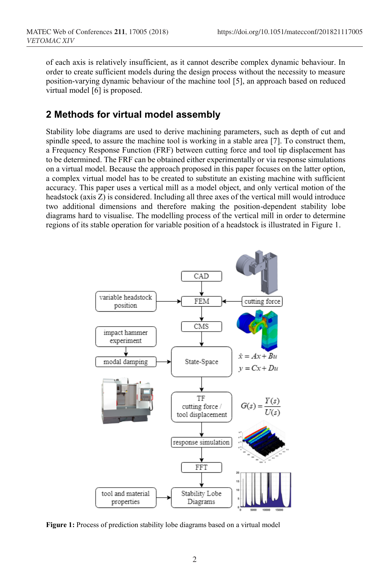of each axis is relatively insufficient, as it cannot describe complex dynamic behaviour. In order to create sufficient models during the design process without the necessity to measure position-varying dynamic behaviour of the machine tool [5], an approach based on reduced virtual model [6] is proposed.

### **2 Methods for virtual model assembly**

Stability lobe diagrams are used to derive machining parameters, such as depth of cut and spindle speed, to assure the machine tool is working in a stable area [7]. To construct them, a Frequency Response Function (FRF) between cutting force and tool tip displacement has to be determined. The FRF can be obtained either experimentally or via response simulations on a virtual model. Because the approach proposed in this paper focuses on the latter option, a complex virtual model has to be created to substitute an existing machine with sufficient accuracy. This paper uses a vertical mill as a model object, and only vertical motion of the headstock (axis Z) is considered. Including all three axes of the vertical mill would introduce two additional dimensions and therefore making the position-dependent stability lobe diagrams hard to visualise. The modelling process of the vertical mill in order to determine regions of its stable operation for variable position of a headstock is illustrated in Figure 1.



**Figure 1:** Process of prediction stability lobe diagrams based on a virtual model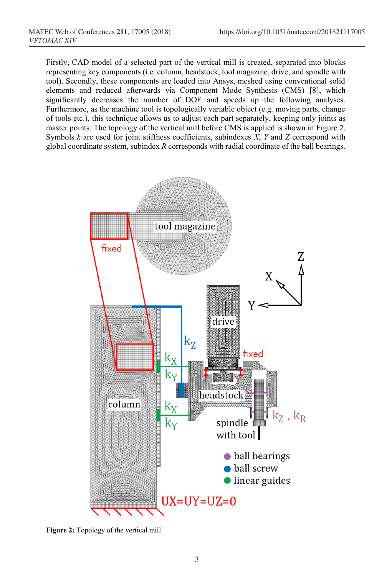Firstly, CAD model of a selected part of the vertical mill is created, separated into blocks representing key components (i.e. column, headstock, tool magazine, drive, and spindle with tool). Secondly, these components are loaded into Ansys, meshed using conventional solid elements and reduced afterwards via Component Mode Synthesis (CMS) [8], which significantly decreases the number of DOF and speeds up the following analyses. Furthermore, as the machine tool is topologically variable object (e.g. moving parts, change of tools etc.), this technique allows us to adjust each part separately, keeping only joints as master points. The topology of the vertical mill before CMS is applied is shown in Figure 2. Symbols *k* are used for joint stiffness coefficients, subindexes *X*, *Y* and *Z* correspond with global coordinate system, subindex *R* corresponds with radial coordinate of the ball bearings.



**Figure 2:** Topology of the vertical mill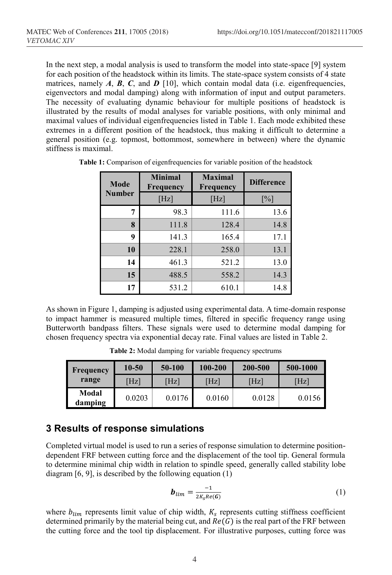In the next step, a modal analysis is used to transform the model into state-space [9] system for each position of the headstock within its limits. The state-space system consists of 4 state matrices, namely  $A$ ,  $B$ ,  $C$ , and  $D$  [10], which contain modal data (i.e. eigenfrequencies, eigenvectors and modal damping) along with information of input and output parameters. The necessity of evaluating dynamic behaviour for multiple positions of headstock is illustrated by the results of modal analyses for variable positions, with only minimal and maximal values of individual eigenfrequencies listed in Table 1. Each mode exhibited these extremes in a different position of the headstock, thus making it difficult to determine a general position (e.g. topmost, bottommost, somewhere in between) where the dynamic stiffness is maximal.

| Mode          | <b>Minimal</b><br>Frequency | <b>Maximal</b><br>Frequency | <b>Difference</b> |  |
|---------------|-----------------------------|-----------------------------|-------------------|--|
| <b>Number</b> | [Hz]                        | [Hz]                        | $\lceil\% \rceil$ |  |
| 7             | 98.3                        | 111.6                       | 13.6              |  |
| 8             | 111.8                       | 128.4                       | 14.8              |  |
| 9             | 141.3                       | 165.4                       | 17.1              |  |
| 10            | 228.1                       | 258.0                       | 13.1              |  |
| 14            | 461.3                       | 521.2                       | 13.0              |  |
| 15            | 488.5                       | 558.2                       | 14.3              |  |
| 17            | 531.2                       | 610.1                       | 14.8              |  |

**Table 1:** Comparison of eigenfrequencies for variable position of the headstock

As shown in Figure 1, damping is adjusted using experimental data. A time-domain response to impact hammer is measured multiple times, filtered in specific frequency range using Butterworth bandpass filters. These signals were used to determine modal damping for chosen frequency spectra via exponential decay rate. Final values are listed in Table 2.

| Frequency<br>range | $10 - 50$ | $50-100$ | 100-200 | 200-500 | 500-1000 |
|--------------------|-----------|----------|---------|---------|----------|
|                    | Hzl       | [Hz]     | [Hz]    | [Hz]    | [Hz]     |
| Modal<br>damping   | 0.0203    | 0.0176   | 0.0160  | 0.0128  | 0.0156   |

**Table 2:** Modal damping for variable frequency spectrums

### **3 Results of response simulations**

Completed virtual model is used to run a series of response simulation to determine positiondependent FRF between cutting force and the displacement of the tool tip. General formula to determine minimal chip width in relation to spindle speed, generally called stability lobe diagram  $[6, 9]$ , is described by the following equation  $(1)$ 

$$
\boldsymbol{b}_{lim} = \frac{-1}{2K_{S}Re(\boldsymbol{G})}
$$
 (1)

where  $b_{lim}$  represents limit value of chip width,  $K_s$  represents cutting stiffness coefficient determined primarily by the material being cut, and  $Re(G)$  is the real part of the FRF between the cutting force and the tool tip displacement. For illustrative purposes, cutting force was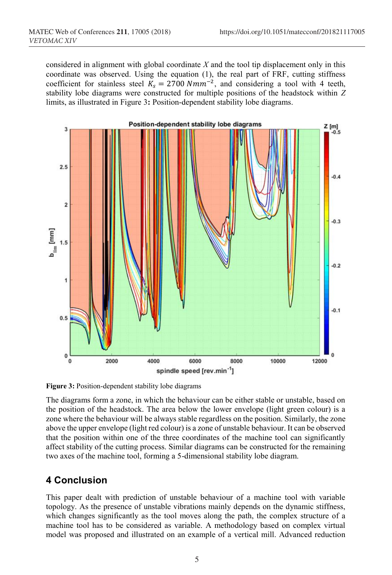considered in alignment with global coordinate *X* and the tool tip displacement only in this coordinate was observed. Using the equation (1), the real part of FRF, cutting stiffness coefficient for stainless steel  $K_s = 2700 Nmm^{-2}$ , and considering a tool with 4 teeth, stability lobe diagrams were constructed for multiple positions of the headstock within *Z* limits, as illustrated in Figure 3**:** Position-dependent stability lobe diagrams.



**Figure 3:** Position-dependent stability lobe diagrams

The diagrams form a zone, in which the behaviour can be either stable or unstable, based on the position of the headstock. The area below the lower envelope (light green colour) is a zone where the behaviour will be always stable regardless on the position. Similarly, the zone above the upper envelope (light red colour) is a zone of unstable behaviour. It can be observed that the position within one of the three coordinates of the machine tool can significantly affect stability of the cutting process. Similar diagrams can be constructed for the remaining two axes of the machine tool, forming a 5-dimensional stability lobe diagram.

## **4 Conclusion**

This paper dealt with prediction of unstable behaviour of a machine tool with variable topology. As the presence of unstable vibrations mainly depends on the dynamic stiffness, which changes significantly as the tool moves along the path, the complex structure of a machine tool has to be considered as variable. A methodology based on complex virtual model was proposed and illustrated on an example of a vertical mill. Advanced reduction